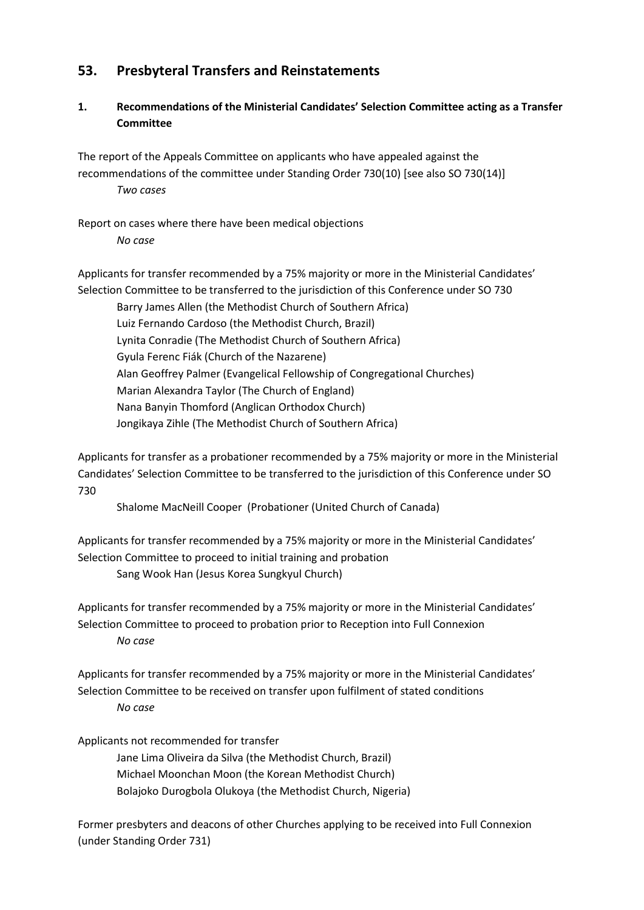## **53. Presbyteral Transfers and Reinstatements**

## **1. Recommendations of the Ministerial Candidates' Selection Committee acting as a Transfer Committee**

The report of the Appeals Committee on applicants who have appealed against the recommendations of the committee under Standing Order 730(10) [see also SO 730(14)] *Two cases*

Report on cases where there have been medical objections *No case*

Applicants for transfer recommended by a 75% majority or more in the Ministerial Candidates' Selection Committee to be transferred to the jurisdiction of this Conference under SO 730

Barry James Allen (the Methodist Church of Southern Africa) Luiz Fernando Cardoso (the Methodist Church, Brazil) Lynita Conradie (The Methodist Church of Southern Africa) Gyula Ferenc Fiák (Church of the Nazarene) Alan Geoffrey Palmer (Evangelical Fellowship of Congregational Churches) Marian Alexandra Taylor (The Church of England) Nana Banyin Thomford (Anglican Orthodox Church) Jongikaya Zihle (The Methodist Church of Southern Africa)

Applicants for transfer as a probationer recommended by a 75% majority or more in the Ministerial Candidates' Selection Committee to be transferred to the jurisdiction of this Conference under SO 730

Shalome MacNeill Cooper (Probationer (United Church of Canada)

Applicants for transfer recommended by a 75% majority or more in the Ministerial Candidates' Selection Committee to proceed to initial training and probation

Sang Wook Han (Jesus Korea Sungkyul Church)

Applicants for transfer recommended by a 75% majority or more in the Ministerial Candidates' Selection Committee to proceed to probation prior to Reception into Full Connexion *No case*

Applicants for transfer recommended by a 75% majority or more in the Ministerial Candidates' Selection Committee to be received on transfer upon fulfilment of stated conditions *No case*

Applicants not recommended for transfer

Jane Lima Oliveira da Silva (the Methodist Church, Brazil) Michael Moonchan Moon (the Korean Methodist Church) Bolajoko Durogbola Olukoya (the Methodist Church, Nigeria)

Former presbyters and deacons of other Churches applying to be received into Full Connexion (under Standing Order 731)